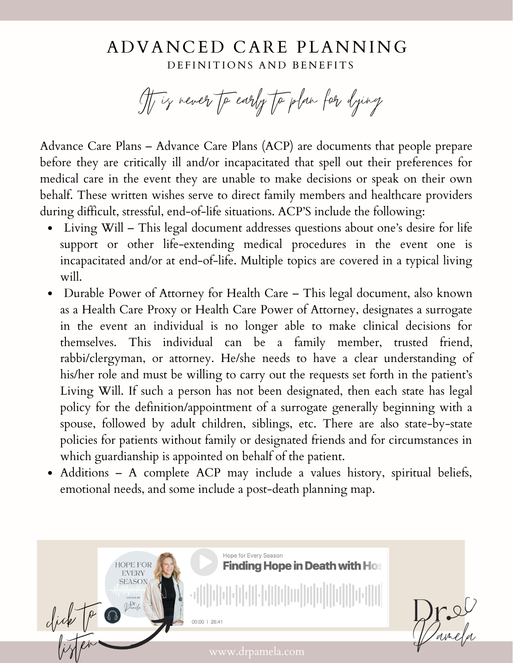## A D V A N C E D C A R E PL A N N I N G DEFINITIONS AND BENEFITS

It is never to early to plan for dying

Advance Care Plans – Advance Care Plans (ACP) are documents that people prepare before they are critically ill and/or incapacitated that spell out their preferences for medical care in the event they are unable to make decisions or speak on their own behalf. These written wishes serve to direct family members and healthcare providers during difficult, stressful, end-of-life situations. ACP'S include the following:

- Living Will This legal document addresses questions about one's desire for life support or other life-extending medical procedures in the event one is incapacitated and/or at end-of-life. Multiple topics are covered in a typical living will.
- Durable Power of Attorney for Health Care This legal document, also known as a Health Care Proxy or Health Care Power of Attorney, designates a surrogate in the event an individual is no longer able to make clinical decisions for themselves. This individual can be a family member, trusted friend, rabbi/clergyman, or attorney. He/she needs to have a clear understanding of his/her role and must be willing to carry out the requests set forth in the patient's Living Will. If such a person has not been designated, then each state has legal policy for the definition/appointment of a surrogate generally beginning with a spouse, followed by adult children, siblings, etc. There are also state-by-state policies for patients without family or designated friends and for circumstances in which guardianship is appointed on behalf of the patient.
- Additions A complete ACP may include a values history, spiritual beliefs, emotional needs, and some include a post-death planning map.